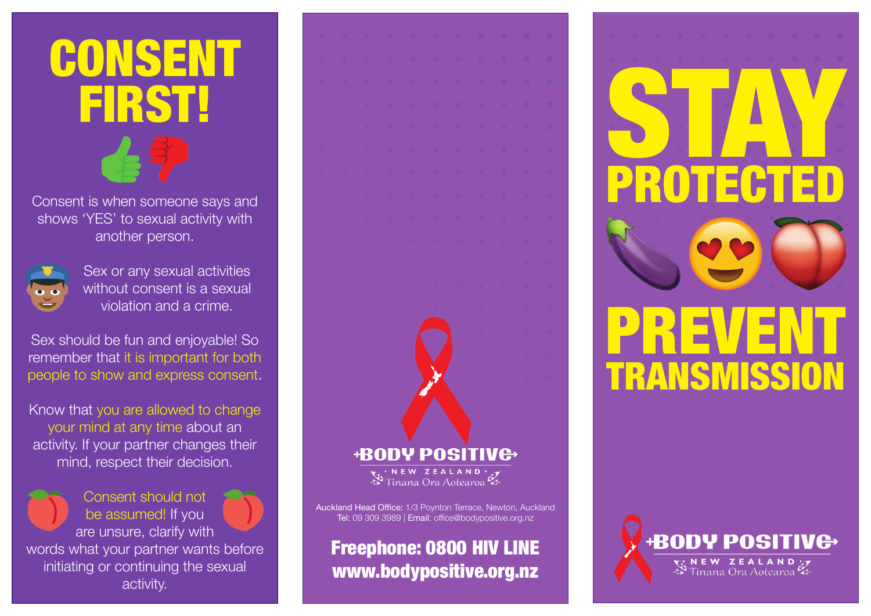## CONSENT FIRST!

Consent is when someone says and shows 'YES' to sexual activity with another person.



Sex or any sexual activities without consent is a sexual violation and a crime.

Sex should be fun and enjoyable! So remember that it is important for both people to show and express consent.

Know that you are allowed to change your mind at any time about an activity. If your partner changes their mind, respect their decision.

Consent should not be assumed! If you are unsure, clarify with words what your partner wants before initiating or continuing the sexual activity.

**BODY POSITIVE** NEW ZEALAND ·

Auckland Head Office: 1/3 Poynton Terrace, Newton, Auckland Tel: 09 309 3989 | Email: office@bodypositive.org.nz

Freephone: 0800 HIV LINE www.bodypositive.org.nz